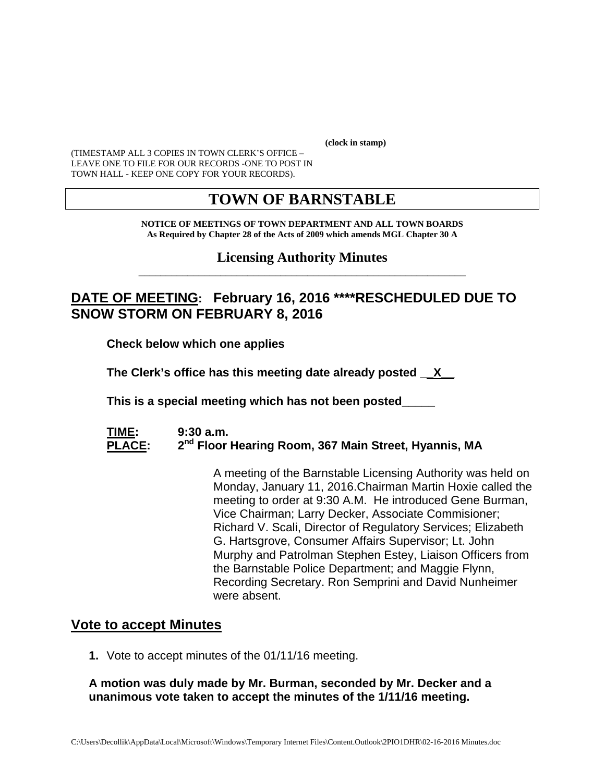**(clock in stamp)** 

(TIMESTAMP ALL 3 COPIES IN TOWN CLERK'S OFFICE – LEAVE ONE TO FILE FOR OUR RECORDS -ONE TO POST IN TOWN HALL - KEEP ONE COPY FOR YOUR RECORDS).

## **TOWN OF BARNSTABLE**

#### **NOTICE OF MEETINGS OF TOWN DEPARTMENT AND ALL TOWN BOARDS As Required by Chapter 28 of the Acts of 2009 which amends MGL Chapter 30 A**

#### **Licensing Authority Minutes** \_\_\_\_\_\_\_\_\_\_\_\_\_\_\_\_\_\_\_\_\_\_\_\_\_\_\_\_\_\_\_\_\_\_\_\_\_\_\_\_\_\_\_\_\_\_\_\_\_\_\_\_\_\_\_\_\_\_\_\_

## **DATE OF MEETING: February 16, 2016 \*\*\*\*RESCHEDULED DUE TO SNOW STORM ON FEBRUARY 8, 2016**

**Check below which one applies** 

**The Clerk's office has this meeting date already posted \_\_X\_\_** 

 **This is a special meeting which has not been posted\_\_\_\_\_** 

#### **TIME: 9:30 a.m.**  PLACE: 2<sup>nd</sup> Floor Hearing Room, 367 Main Street, Hyannis, MA

A meeting of the Barnstable Licensing Authority was held on Monday, January 11, 2016.Chairman Martin Hoxie called the meeting to order at 9:30 A.M. He introduced Gene Burman, Vice Chairman; Larry Decker, Associate Commisioner; Richard V. Scali, Director of Regulatory Services; Elizabeth G. Hartsgrove, Consumer Affairs Supervisor; Lt. John Murphy and Patrolman Stephen Estey, Liaison Officers from the Barnstable Police Department; and Maggie Flynn, Recording Secretary. Ron Semprini and David Nunheimer were absent.

### **Vote to accept Minutes**

**1.** Vote to accept minutes of the 01/11/16 meeting.

#### **A motion was duly made by Mr. Burman, seconded by Mr. Decker and a unanimous vote taken to accept the minutes of the 1/11/16 meeting.**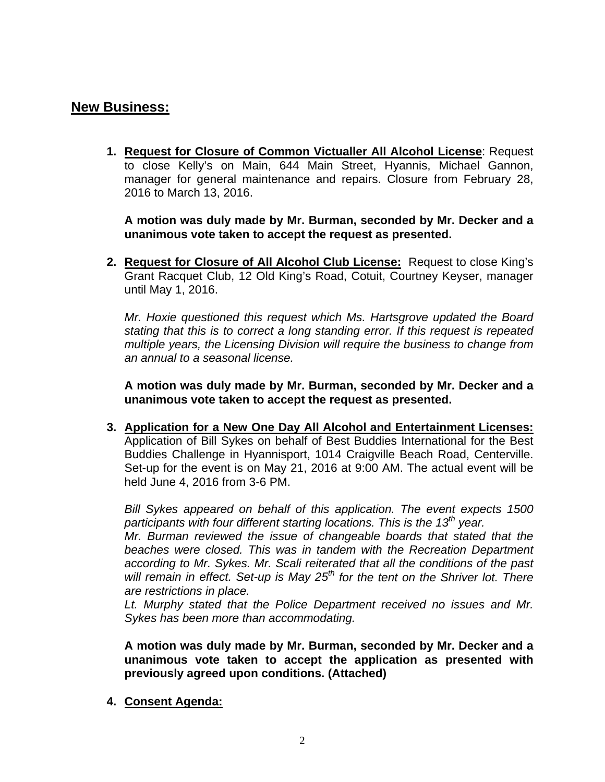## **New Business:**

**1. Request for Closure of Common Victualler All Alcohol License**: Request to close Kelly's on Main, 644 Main Street, Hyannis, Michael Gannon, manager for general maintenance and repairs. Closure from February 28, 2016 to March 13, 2016.

**A motion was duly made by Mr. Burman, seconded by Mr. Decker and a unanimous vote taken to accept the request as presented.** 

**2. Request for Closure of All Alcohol Club License:** Request to close King's Grant Racquet Club, 12 Old King's Road, Cotuit, Courtney Keyser, manager until May 1, 2016.

*Mr. Hoxie questioned this request which Ms. Hartsgrove updated the Board stating that this is to correct a long standing error. If this request is repeated multiple years, the Licensing Division will require the business to change from an annual to a seasonal license.* 

**A motion was duly made by Mr. Burman, seconded by Mr. Decker and a unanimous vote taken to accept the request as presented.** 

**3. Application for a New One Day All Alcohol and Entertainment Licenses:** Application of Bill Sykes on behalf of Best Buddies International for the Best Buddies Challenge in Hyannisport, 1014 Craigville Beach Road, Centerville. Set-up for the event is on May 21, 2016 at 9:00 AM. The actual event will be held June 4, 2016 from 3-6 PM.

*Bill Sykes appeared on behalf of this application. The event expects 1500*  participants with four different starting locations. This is the 13<sup>th</sup> year.

*Mr. Burman reviewed the issue of changeable boards that stated that the beaches were closed. This was in tandem with the Recreation Department according to Mr. Sykes. Mr. Scali reiterated that all the conditions of the past*  will remain in effect. Set-up is May 25<sup>th</sup> for the tent on the Shriver lot. There *are restrictions in place.* 

*Lt. Murphy stated that the Police Department received no issues and Mr. Sykes has been more than accommodating.* 

**A motion was duly made by Mr. Burman, seconded by Mr. Decker and a unanimous vote taken to accept the application as presented with previously agreed upon conditions. (Attached)** 

**4. Consent Agenda:**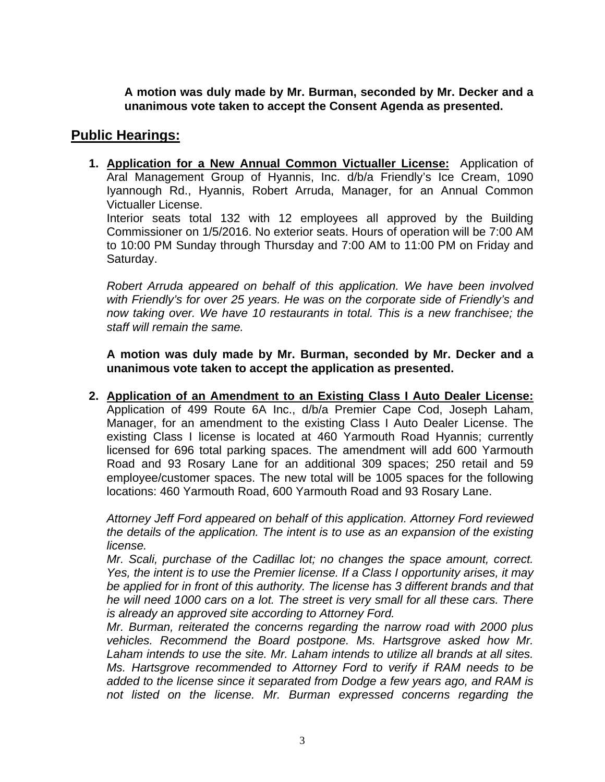**A motion was duly made by Mr. Burman, seconded by Mr. Decker and a unanimous vote taken to accept the Consent Agenda as presented.** 

## **Public Hearings:**

**1. Application for a New Annual Common Victualler License:** Application of Aral Management Group of Hyannis, Inc. d/b/a Friendly's Ice Cream, 1090 Iyannough Rd., Hyannis, Robert Arruda, Manager, for an Annual Common Victualler License. Interior seats total 132 with 12 employees all approved by the Building Commissioner on 1/5/2016. No exterior seats. Hours of operation will be 7:00 AM to 10:00 PM Sunday through Thursday and 7:00 AM to 11:00 PM on Friday and Saturday.

*Robert Arruda appeared on behalf of this application. We have been involved with Friendly's for over 25 years. He was on the corporate side of Friendly's and now taking over. We have 10 restaurants in total. This is a new franchisee; the staff will remain the same.* 

**A motion was duly made by Mr. Burman, seconded by Mr. Decker and a unanimous vote taken to accept the application as presented.** 

**2. Application of an Amendment to an Existing Class I Auto Dealer License:** Application of 499 Route 6A Inc., d/b/a Premier Cape Cod, Joseph Laham, Manager, for an amendment to the existing Class I Auto Dealer License. The existing Class I license is located at 460 Yarmouth Road Hyannis; currently licensed for 696 total parking spaces. The amendment will add 600 Yarmouth Road and 93 Rosary Lane for an additional 309 spaces; 250 retail and 59 employee/customer spaces. The new total will be 1005 spaces for the following locations: 460 Yarmouth Road, 600 Yarmouth Road and 93 Rosary Lane.

*Attorney Jeff Ford appeared on behalf of this application. Attorney Ford reviewed the details of the application. The intent is to use as an expansion of the existing license.* 

*Mr. Scali, purchase of the Cadillac lot; no changes the space amount, correct. Yes, the intent is to use the Premier license. If a Class I opportunity arises, it may be applied for in front of this authority. The license has 3 different brands and that he will need 1000 cars on a lot. The street is very small for all these cars. There is already an approved site according to Attorney Ford.* 

*Mr. Burman, reiterated the concerns regarding the narrow road with 2000 plus vehicles. Recommend the Board postpone. Ms. Hartsgrove asked how Mr. Laham intends to use the site. Mr. Laham intends to utilize all brands at all sites. Ms. Hartsgrove recommended to Attorney Ford to verify if RAM needs to be added to the license since it separated from Dodge a few years ago, and RAM is not listed on the license. Mr. Burman expressed concerns regarding the*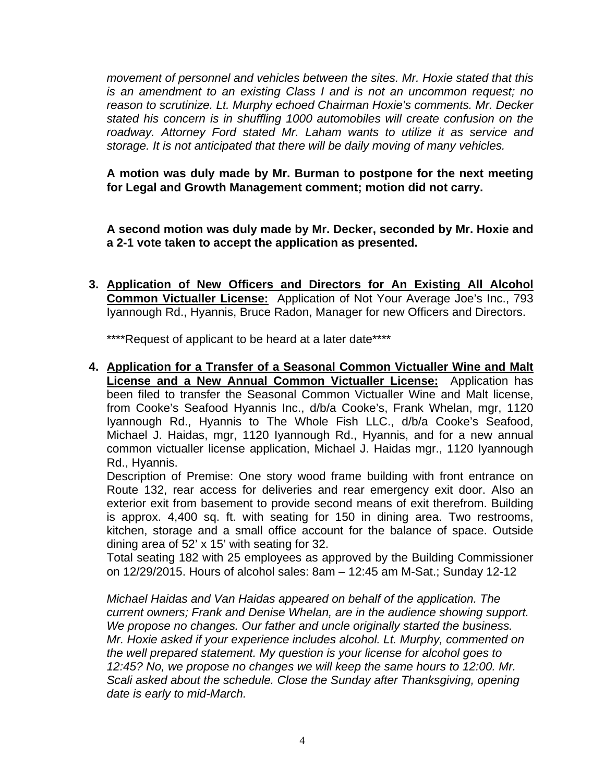*movement of personnel and vehicles between the sites. Mr. Hoxie stated that this is an amendment to an existing Class I and is not an uncommon request; no reason to scrutinize. Lt. Murphy echoed Chairman Hoxie's comments. Mr. Decker stated his concern is in shuffling 1000 automobiles will create confusion on the roadway. Attorney Ford stated Mr. Laham wants to utilize it as service and storage. It is not anticipated that there will be daily moving of many vehicles.* 

**A motion was duly made by Mr. Burman to postpone for the next meeting for Legal and Growth Management comment; motion did not carry.** 

**A second motion was duly made by Mr. Decker, seconded by Mr. Hoxie and a 2-1 vote taken to accept the application as presented.** 

**3. Application of New Officers and Directors for An Existing All Alcohol Common Victualler License:** Application of Not Your Average Joe's Inc., 793 Iyannough Rd., Hyannis, Bruce Radon, Manager for new Officers and Directors.

\*\*\*\*Request of applicant to be heard at a later date\*\*\*\*

**4. Application for a Transfer of a Seasonal Common Victualler Wine and Malt License and a New Annual Common Victualler License:** Application has been filed to transfer the Seasonal Common Victualler Wine and Malt license, from Cooke's Seafood Hyannis Inc., d/b/a Cooke's, Frank Whelan, mgr, 1120 Iyannough Rd., Hyannis to The Whole Fish LLC., d/b/a Cooke's Seafood, Michael J. Haidas, mgr, 1120 Iyannough Rd., Hyannis, and for a new annual common victualler license application, Michael J. Haidas mgr., 1120 Iyannough Rd., Hyannis.

Description of Premise: One story wood frame building with front entrance on Route 132, rear access for deliveries and rear emergency exit door. Also an exterior exit from basement to provide second means of exit therefrom. Building is approx. 4,400 sq. ft. with seating for 150 in dining area. Two restrooms, kitchen, storage and a small office account for the balance of space. Outside dining area of 52' x 15' with seating for 32.

Total seating 182 with 25 employees as approved by the Building Commissioner on 12/29/2015. Hours of alcohol sales: 8am – 12:45 am M-Sat.; Sunday 12-12

*Michael Haidas and Van Haidas appeared on behalf of the application. The current owners; Frank and Denise Whelan, are in the audience showing support. We propose no changes. Our father and uncle originally started the business. Mr. Hoxie asked if your experience includes alcohol. Lt. Murphy, commented on the well prepared statement. My question is your license for alcohol goes to 12:45? No, we propose no changes we will keep the same hours to 12:00. Mr. Scali asked about the schedule. Close the Sunday after Thanksgiving, opening date is early to mid-March.*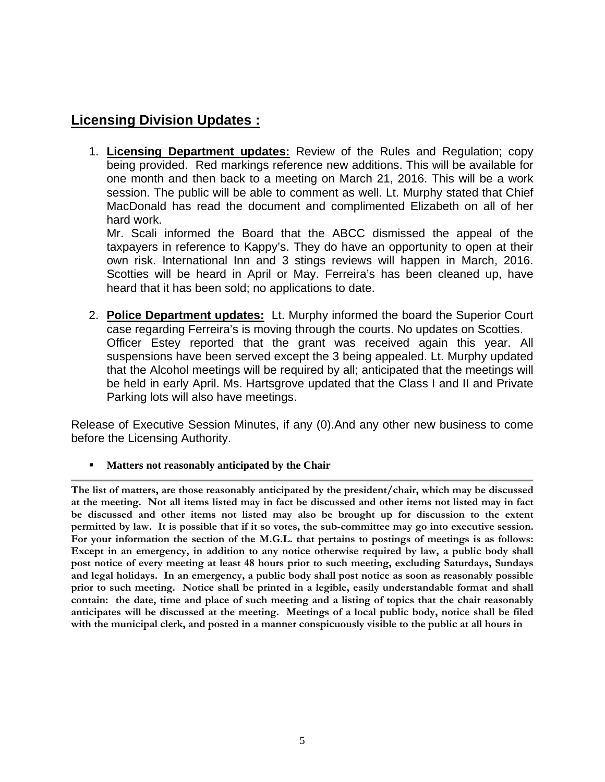## **Licensing Division Updates :**

1. **Licensing Department updates:** Review of the Rules and Regulation; copy being provided. Red markings reference new additions. This will be available for one month and then back to a meeting on March 21, 2016. This will be a work session. The public will be able to comment as well. Lt. Murphy stated that Chief MacDonald has read the document and complimented Elizabeth on all of her hard work.

Mr. Scali informed the Board that the ABCC dismissed the appeal of the taxpayers in reference to Kappy's. They do have an opportunity to open at their own risk. International Inn and 3 stings reviews will happen in March, 2016. Scotties will be heard in April or May. Ferreira's has been cleaned up, have heard that it has been sold; no applications to date.

2. **Police Department updates:** Lt. Murphy informed the board the Superior Court case regarding Ferreira's is moving through the courts. No updates on Scotties. Officer Estey reported that the grant was received again this year. All suspensions have been served except the 3 being appealed. Lt. Murphy updated that the Alcohol meetings will be required by all; anticipated that the meetings will be held in early April. Ms. Hartsgrove updated that the Class I and II and Private Parking lots will also have meetings.

Release of Executive Session Minutes, if any (0).And any other new business to come before the Licensing Authority.

**Matters not reasonably anticipated by the Chair** 

**The list of matters, are those reasonably anticipated by the president/chair, which may be discussed at the meeting. Not all items listed may in fact be discussed and other items not listed may in fact be discussed and other items not listed may also be brought up for discussion to the extent permitted by law. It is possible that if it so votes, the sub-committee may go into executive session. For your information the section of the M.G.L. that pertains to postings of meetings is as follows: Except in an emergency, in addition to any notice otherwise required by law, a public body shall post notice of every meeting at least 48 hours prior to such meeting, excluding Saturdays, Sundays and legal holidays. In an emergency, a public body shall post notice as soon as reasonably possible prior to such meeting. Notice shall be printed in a legible, easily understandable format and shall contain: the date, time and place of such meeting and a listing of topics that the chair reasonably anticipates will be discussed at the meeting. Meetings of a local public body, notice shall be filed with the municipal clerk, and posted in a manner conspicuously visible to the public at all hours in**